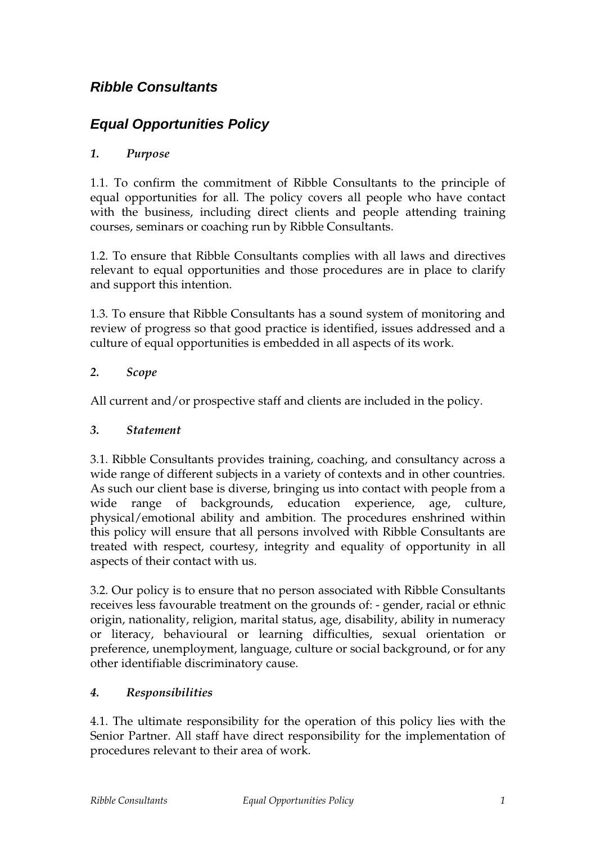# **Ribble Consultants**

# **Equal Opportunities Policy**

# *1. Purpose*

1.1. To confirm the commitment of Ribble Consultants to the principle of equal opportunities for all. The policy covers all people who have contact with the business, including direct clients and people attending training courses, seminars or coaching run by Ribble Consultants.

1.2. To ensure that Ribble Consultants complies with all laws and directives relevant to equal opportunities and those procedures are in place to clarify and support this intention.

1.3. To ensure that Ribble Consultants has a sound system of monitoring and review of progress so that good practice is identified, issues addressed and a culture of equal opportunities is embedded in all aspects of its work.

### *2. Scope*

All current and/or prospective staff and clients are included in the policy.

#### *3. Statement*

3.1. Ribble Consultants provides training, coaching, and consultancy across a wide range of different subjects in a variety of contexts and in other countries. As such our client base is diverse, bringing us into contact with people from a wide range of backgrounds, education experience, age, culture, physical/emotional ability and ambition. The procedures enshrined within this policy will ensure that all persons involved with Ribble Consultants are treated with respect, courtesy, integrity and equality of opportunity in all aspects of their contact with us.

3.2. Our policy is to ensure that no person associated with Ribble Consultants receives less favourable treatment on the grounds of: - gender, racial or ethnic origin, nationality, religion, marital status, age, disability, ability in numeracy or literacy, behavioural or learning difficulties, sexual orientation or preference, unemployment, language, culture or social background, or for any other identifiable discriminatory cause.

# *4. Responsibilities*

4.1. The ultimate responsibility for the operation of this policy lies with the Senior Partner. All staff have direct responsibility for the implementation of procedures relevant to their area of work.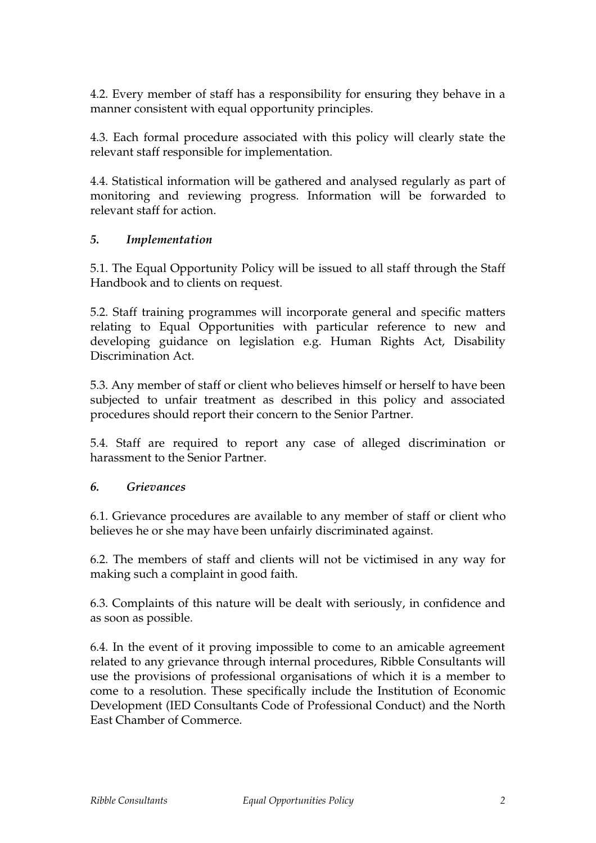4.2. Every member of staff has a responsibility for ensuring they behave in a manner consistent with equal opportunity principles.

4.3. Each formal procedure associated with this policy will clearly state the relevant staff responsible for implementation.

4.4. Statistical information will be gathered and analysed regularly as part of monitoring and reviewing progress. Information will be forwarded to relevant staff for action.

### *5. Implementation*

5.1. The Equal Opportunity Policy will be issued to all staff through the Staff Handbook and to clients on request.

5.2. Staff training programmes will incorporate general and specific matters relating to Equal Opportunities with particular reference to new and developing guidance on legislation e.g. Human Rights Act, Disability Discrimination Act.

5.3. Any member of staff or client who believes himself or herself to have been subjected to unfair treatment as described in this policy and associated procedures should report their concern to the Senior Partner.

5.4. Staff are required to report any case of alleged discrimination or harassment to the Senior Partner.

#### *6. Grievances*

6.1. Grievance procedures are available to any member of staff or client who believes he or she may have been unfairly discriminated against.

6.2. The members of staff and clients will not be victimised in any way for making such a complaint in good faith.

6.3. Complaints of this nature will be dealt with seriously, in confidence and as soon as possible.

6.4. In the event of it proving impossible to come to an amicable agreement related to any grievance through internal procedures, Ribble Consultants will use the provisions of professional organisations of which it is a member to come to a resolution. These specifically include the Institution of Economic Development (IED Consultants Code of Professional Conduct) and the North East Chamber of Commerce.